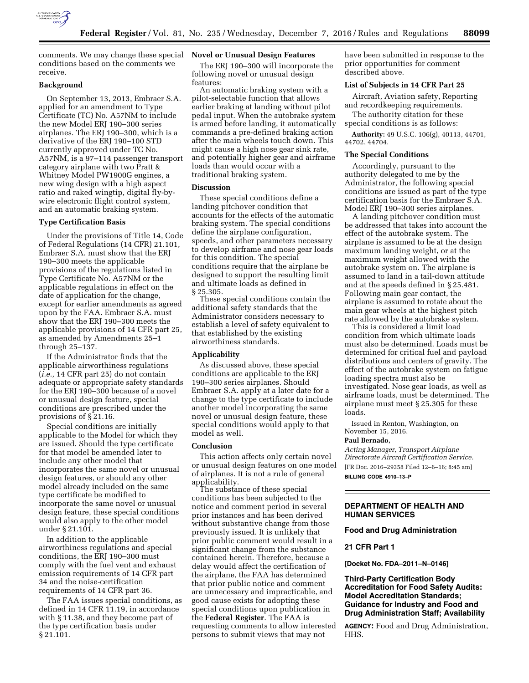

comments. We may change these special **Novel or Unusual Design Features**  conditions based on the comments we receive.

## **Background**

On September 13, 2013, Embraer S.A. applied for an amendment to Type Certificate (TC) No. A57NM to include the new Model ERJ 190–300 series airplanes. The ERJ 190–300, which is a derivative of the ERJ 190–100 STD currently approved under TC No. A57NM, is a 97–114 passenger transport category airplane with two Pratt & Whitney Model PW1900G engines, a new wing design with a high aspect ratio and raked wingtip, digital fly-bywire electronic flight control system, and an automatic braking system.

### **Type Certification Basis**

Under the provisions of Title 14, Code of Federal Regulations (14 CFR) 21.101, Embraer S.A. must show that the ERJ 190–300 meets the applicable provisions of the regulations listed in Type Certificate No. A57NM or the applicable regulations in effect on the date of application for the change, except for earlier amendments as agreed upon by the FAA. Embraer S.A. must show that the ERJ 190–300 meets the applicable provisions of 14 CFR part 25, as amended by Amendments 25–1 through 25–137.

If the Administrator finds that the applicable airworthiness regulations (*i.e.,* 14 CFR part 25) do not contain adequate or appropriate safety standards for the ERJ 190–300 because of a novel or unusual design feature, special conditions are prescribed under the provisions of § 21.16.

Special conditions are initially applicable to the Model for which they are issued. Should the type certificate for that model be amended later to include any other model that incorporates the same novel or unusual design features, or should any other model already included on the same type certificate be modified to incorporate the same novel or unusual design feature, these special conditions would also apply to the other model under § 21.101.

In addition to the applicable airworthiness regulations and special conditions, the ERJ 190–300 must comply with the fuel vent and exhaust emission requirements of 14 CFR part 34 and the noise-certification requirements of 14 CFR part 36.

The FAA issues special conditions, as defined in 14 CFR 11.19, in accordance with § 11.38, and they become part of the type certification basis under § 21.101.

The ERJ 190–300 will incorporate the following novel or unusual design features:

An automatic braking system with a pilot-selectable function that allows earlier braking at landing without pilot pedal input. When the autobrake system is armed before landing, it automatically commands a pre-defined braking action after the main wheels touch down. This might cause a high nose gear sink rate, and potentially higher gear and airframe loads than would occur with a traditional braking system.

#### **Discussion**

These special conditions define a landing pitchover condition that accounts for the effects of the automatic braking system. The special conditions define the airplane configuration, speeds, and other parameters necessary to develop airframe and nose gear loads for this condition. The special conditions require that the airplane be designed to support the resulting limit and ultimate loads as defined in § 25.305.

These special conditions contain the additional safety standards that the Administrator considers necessary to establish a level of safety equivalent to that established by the existing airworthiness standards.

## **Applicability**

As discussed above, these special conditions are applicable to the ERJ 190–300 series airplanes. Should Embraer S.A. apply at a later date for a change to the type certificate to include another model incorporating the same novel or unusual design feature, these special conditions would apply to that model as well.

### **Conclusion**

This action affects only certain novel or unusual design features on one model of airplanes. It is not a rule of general

The substance of these special conditions has been subjected to the notice and comment period in several prior instances and has been derived without substantive change from those previously issued. It is unlikely that prior public comment would result in a significant change from the substance contained herein. Therefore, because a delay would affect the certification of the airplane, the FAA has determined that prior public notice and comment are unnecessary and impracticable, and good cause exists for adopting these special conditions upon publication in the **Federal Register**. The FAA is requesting comments to allow interested persons to submit views that may not

have been submitted in response to the prior opportunities for comment described above.

# **List of Subjects in 14 CFR Part 25**

Aircraft, Aviation safety, Reporting and recordkeeping requirements.

The authority citation for these special conditions is as follows:

**Authority:** 49 U.S.C. 106(g), 40113, 44701, 44702, 44704.

### **The Special Conditions**

Accordingly, pursuant to the authority delegated to me by the Administrator, the following special conditions are issued as part of the type certification basis for the Embraer S.A. Model ERJ 190–300 series airplanes.

A landing pitchover condition must be addressed that takes into account the effect of the autobrake system. The airplane is assumed to be at the design maximum landing weight, or at the maximum weight allowed with the autobrake system on. The airplane is assumed to land in a tail-down attitude and at the speeds defined in § 25.481. Following main gear contact, the airplane is assumed to rotate about the main gear wheels at the highest pitch rate allowed by the autobrake system.

This is considered a limit load condition from which ultimate loads must also be determined. Loads must be determined for critical fuel and payload distributions and centers of gravity. The effect of the autobrake system on fatigue loading spectra must also be investigated. Nose gear loads, as well as airframe loads, must be determined. The airplane must meet § 25.305 for these loads.

Issued in Renton, Washington, on November 15, 2016.

#### **Paul Bernado,**

*Acting Manager, Transport Airplane Directorate Aircraft Certification Service.*  [FR Doc. 2016–29358 Filed 12–6–16; 8:45 am] **BILLING CODE 4910–13–P** 

# **DEPARTMENT OF HEALTH AND HUMAN SERVICES**

### **Food and Drug Administration**

#### **21 CFR Part 1**

**[Docket No. FDA–2011–N–0146]** 

**Third-Party Certification Body Accreditation for Food Safety Audits: Model Accreditation Standards; Guidance for Industry and Food and Drug Administration Staff; Availability** 

**AGENCY:** Food and Drug Administration, HHS.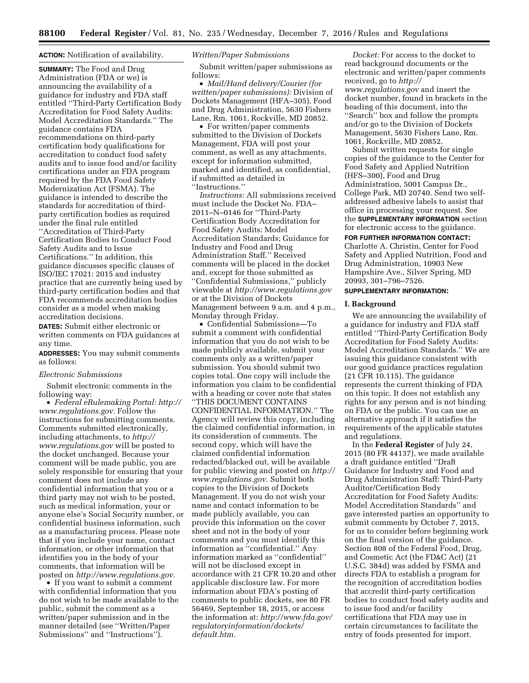#### **ACTION:** Notification of availability.

**SUMMARY:** The Food and Drug Administration (FDA or we) is announcing the availability of a guidance for industry and FDA staff entitled ''Third-Party Certification Body Accreditation for Food Safety Audits: Model Accreditation Standards.'' The guidance contains FDA recommendations on third-party certification body qualifications for accreditation to conduct food safety audits and to issue food and/or facility certifications under an FDA program required by the FDA Food Safety Modernization Act (FSMA). The guidance is intended to describe the standards for accreditation of thirdparty certification bodies as required under the final rule entitled ''Accreditation of Third-Party Certification Bodies to Conduct Food Safety Audits and to Issue Certifications.'' In addition, this guidance discusses specific clauses of ISO/IEC 17021: 2015 and industry practice that are currently being used by third-party certification bodies and that FDA recommends accreditation bodies consider as a model when making accreditation decisions.

**DATES:** Submit either electronic or written comments on FDA guidances at any time.

**ADDRESSES:** You may submit comments as follows:

#### *Electronic Submissions*

Submit electronic comments in the following way:

• *Federal eRulemaking Portal: [http://](http://www.regulations.gov)  [www.regulations.gov.](http://www.regulations.gov)* Follow the instructions for submitting comments. Comments submitted electronically, including attachments, to *[http://](http://www.regulations.gov) [www.regulations.gov](http://www.regulations.gov)* will be posted to the docket unchanged. Because your comment will be made public, you are solely responsible for ensuring that your comment does not include any confidential information that you or a third party may not wish to be posted, such as medical information, your or anyone else's Social Security number, or confidential business information, such as a manufacturing process. Please note that if you include your name, contact information, or other information that identifies you in the body of your comments, that information will be posted on *[http://www.regulations.gov.](http://www.regulations.gov)* 

• If you want to submit a comment with confidential information that you do not wish to be made available to the public, submit the comment as a written/paper submission and in the manner detailed (see ''Written/Paper Submissions'' and ''Instructions'').

## *Written/Paper Submissions*

Submit written/paper submissions as follows:

• *Mail/Hand delivery/Courier (for written/paper submissions):* Division of Dockets Management (HFA–305), Food and Drug Administration, 5630 Fishers Lane, Rm. 1061, Rockville, MD 20852.

• For written/paper comments submitted to the Division of Dockets Management, FDA will post your comment, as well as any attachments, except for information submitted, marked and identified, as confidential, if submitted as detailed in ''Instructions.''

*Instructions:* All submissions received must include the Docket No. FDA– 2011–N–0146 for ''Third-Party Certification Body Accreditation for Food Safety Audits: Model Accreditation Standards; Guidance for Industry and Food and Drug Administration Staff.'' Received comments will be placed in the docket and, except for those submitted as ''Confidential Submissions,'' publicly viewable at *<http://www.regulations.gov>* or at the Division of Dockets Management between 9 a.m. and 4 p.m., Monday through Friday.

• Confidential Submissions—To submit a comment with confidential information that you do not wish to be made publicly available, submit your comments only as a written/paper submission. You should submit two copies total. One copy will include the information you claim to be confidential with a heading or cover note that states ''THIS DOCUMENT CONTAINS CONFIDENTIAL INFORMATION.'' The Agency will review this copy, including the claimed confidential information, in its consideration of comments. The second copy, which will have the claimed confidential information redacted/blacked out, will be available for public viewing and posted on *[http://](http://www.regulations.gov)  [www.regulations.gov.](http://www.regulations.gov)* Submit both copies to the Division of Dockets Management. If you do not wish your name and contact information to be made publicly available, you can provide this information on the cover sheet and not in the body of your comments and you must identify this information as ''confidential.'' Any information marked as ''confidential'' will not be disclosed except in accordance with 21 CFR 10.20 and other applicable disclosure law. For more information about FDA's posting of comments to public dockets, see 80 FR 56469, September 18, 2015, or access the information at: *[http://www.fda.gov/](http://www.fda.gov/regulatoryinformation/dockets/default.htm)  [regulatoryinformation/dockets/](http://www.fda.gov/regulatoryinformation/dockets/default.htm)  [default.htm.](http://www.fda.gov/regulatoryinformation/dockets/default.htm)* 

*Docket:* For access to the docket to read background documents or the electronic and written/paper comments received, go to *[http://](http://www.regulations.gov) [www.regulations.gov](http://www.regulations.gov)* and insert the docket number, found in brackets in the heading of this document, into the ''Search'' box and follow the prompts and/or go to the Division of Dockets Management, 5630 Fishers Lane, Rm. 1061, Rockville, MD 20852.

Submit written requests for single copies of the guidance to the Center for Food Safety and Applied Nutrition (HFS–300), Food and Drug Administration, 5001 Campus Dr., College Park, MD 20740. Send two selfaddressed adhesive labels to assist that office in processing your request. See the **SUPPLEMENTARY INFORMATION** section for electronic access to the guidance.

### **FOR FURTHER INFORMATION CONTACT:**

Charlotte A. Christin, Center for Food Safety and Applied Nutrition, Food and Drug Administration, 10903 New Hampshire Ave., Silver Spring, MD 20993, 301–796–7526.

## **SUPPLEMENTARY INFORMATION:**

#### **I. Background**

We are announcing the availability of a guidance for industry and FDA staff entitled ''Third-Party Certification Body Accreditation for Food Safety Audits: Model Accreditation Standards.'' We are issuing this guidance consistent with our good guidance practices regulation (21 CFR 10.115). The guidance represents the current thinking of FDA on this topic. It does not establish any rights for any person and is not binding on FDA or the public. You can use an alternative approach if it satisfies the requirements of the applicable statutes and regulations.

In the **Federal Register** of July 24, 2015 (80 FR 44137), we made available a draft guidance entitled ''Draft Guidance for Industry and Food and Drug Administration Staff: Third-Party Auditor/Certification Body Accreditation for Food Safety Audits: Model Accreditation Standards'' and gave interested parties an opportunity to submit comments by October 7, 2015, for us to consider before beginning work on the final version of the guidance. Section 808 of the Federal Food, Drug, and Cosmetic Act (the FD&C Act) (21 U.S.C. 384d) was added by FSMA and directs FDA to establish a program for the recognition of accreditation bodies that accredit third-party certification bodies to conduct food safety audits and to issue food and/or facility certifications that FDA may use in certain circumstances to facilitate the entry of foods presented for import.